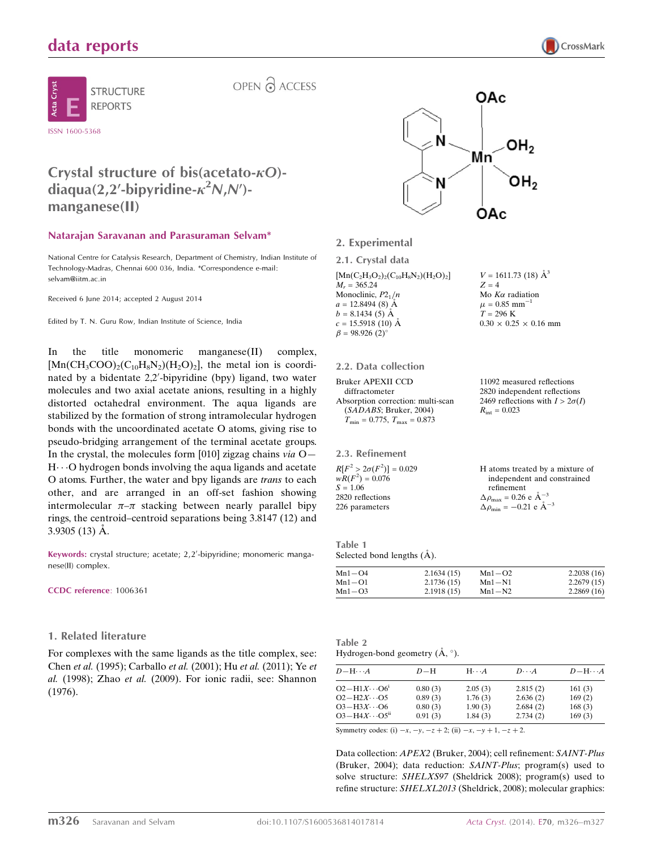# data reports





OPEN & ACCESS

## Crystal structure of bis(acetato- $\kappa$ O)diaqua(2,2'-bipyridine- $\kappa^2$ N,N')manganese(II)

#### Natarajan Saravanan and Parasuraman Selvam\*

National Centre for Catalysis Research, Department of Chemistry, Indian Institute of Technology-Madras, Chennai 600 036, India. \*Correspondence e-mail: selvam@iitm.ac.in

Received 6 June 2014; accepted 2 August 2014

Edited by T. N. Guru Row, Indian Institute of Science, India

In the title monomeric manganese(II) complex,  $[{\rm Mn}(CH_3COO)_2(C_{10}H_8N_2)(H_2O)_2]$ , the metal ion is coordinated by a bidentate 2,2'-bipyridine (bpy) ligand, two water molecules and two axial acetate anions, resulting in a highly distorted octahedral environment. The aqua ligands are stabilized by the formation of strong intramolecular hydrogen bonds with the uncoordinated acetate O atoms, giving rise to pseudo-bridging arrangement of the terminal acetate groups. In the crystal, the molecules form [010] zigzag chains *via*  $O-$ H---O hydrogen bonds involving the aqua ligands and acetate O atoms. Further, the water and bpy ligands are trans to each other, and are arranged in an off-set fashion showing intermolecular  $\pi-\pi$  stacking between nearly parallel bipy rings, the centroid–centroid separations being 3.8147 (12) and  $3.9305(13)$  A.

Keywords: crystal structure; acetate; 2,2'-bipyridine; monomeric manganese(II) complex.

#### CCDC reference: 1006361

#### 1. Related literature

For complexes with the same ligands as the title complex, see: Chen et al. (1995); Carballo et al. (2001); Hu et al. (2011); Ye et al. (1998); Zhao et al. (2009). For ionic radii, see: Shannon (1976).



2. Experimental

2.1. Crystal data  $[Mn(C_2H_3O_2)_2(C_{10}H_8N_2)(H_2O)_2]$  $M_r = 365.24$ Monoclinic,  $P2_1/n$  $a = 12.8494(8)$  Å  $b = 8.1434(5)$  Å  $c = 15.5918(10)$  Å  $\beta = 98.926$  (2)<sup>o</sup>

#### 2.2. Data collection

Bruker APEXII CCD diffractometer Absorption correction: multi-scan (SADABS; Bruker, 2004)  $T_{\min} = 0.775, T_{\max} = 0.873$ 

2.3. Refinement  $R[F^2 > 2\sigma(F^2)] = 0.029$ 

 $wR(F^2) = 0.076$  $S = 1.06$ 2820 reflections 226 parameters

 $V = 1611.73$  (18)  $\AA^3$ 

 $0.30 \times 0.25 \times 0.16$  mm

Mo  $K\alpha$  radiation  $\mu = 0.85$  mm<sup>-1</sup>  $T = 296$  K

 $Z = 4$ 

11092 measured reflections 2820 independent reflections 2469 reflections with  $I > 2\sigma(I)$  $R_{\text{int}} = 0.023$ 

| H atoms treated by a mixture of                    |
|----------------------------------------------------|
| independent and constrained                        |
| refinement                                         |
| $\Delta \rho_{\text{max}} = 0.26 \text{ e A}^{-3}$ |
| $\Delta \rho_{\text{min}} = -0.21$ e $\AA^{-3}$    |

| Table 1 |  |                                 |  |
|---------|--|---------------------------------|--|
|         |  | Selected bond lengths $(\AA)$ . |  |

| $Mn1 - O4$ | 2.1634(15) | $Mn1 - O2$ | 2.2038(16) |
|------------|------------|------------|------------|
| $Mn1 - O1$ | 2.1736(15) | $Mn1-N1$   | 2.2679(15) |
| $Mn1 - O3$ | 2.1918(15) | $Mn1-N2$   | 2.2869(16) |

| Table 2                                            |  |
|----------------------------------------------------|--|
| Hydrogen-bond geometry $(\mathring{A}, \degree)$ . |  |

| $D - H \cdots A$                   | $D-H$   | $H\cdots A$ | $D\cdots A$ | $D - H \cdots A$ |
|------------------------------------|---------|-------------|-------------|------------------|
| $O2 - H1X \cdots O6$ <sup>1</sup>  | 0.80(3) | 2.05(3)     | 2.815(2)    | 161(3)           |
| $O2 - H2X \cdots O5$               | 0.89(3) | 1.76(3)     | 2.636(2)    | 169(2)           |
| $O3 - H3X \cdots O6$               | 0.80(3) | 1.90(3)     | 2.684(2)    | 168(3)           |
| $O3 - H4X \cdots O5$ <sup>ii</sup> | 0.91(3) | 1.84(3)     | 2.734(2)    | 169(3)           |

Symmetry codes: (i)  $-x, -y, -z + 2$ ; (ii)  $-x, -y + 1, -z + 2$ .

Data collection: APEX2 (Bruker, 2004); cell refinement: SAINT-Plus (Bruker, 2004); data reduction: SAINT-Plus; program(s) used to solve structure: SHELXS97 (Sheldrick 2008); program(s) used to refine structure: SHELXL2013 (Sheldrick, 2008); molecular graphics: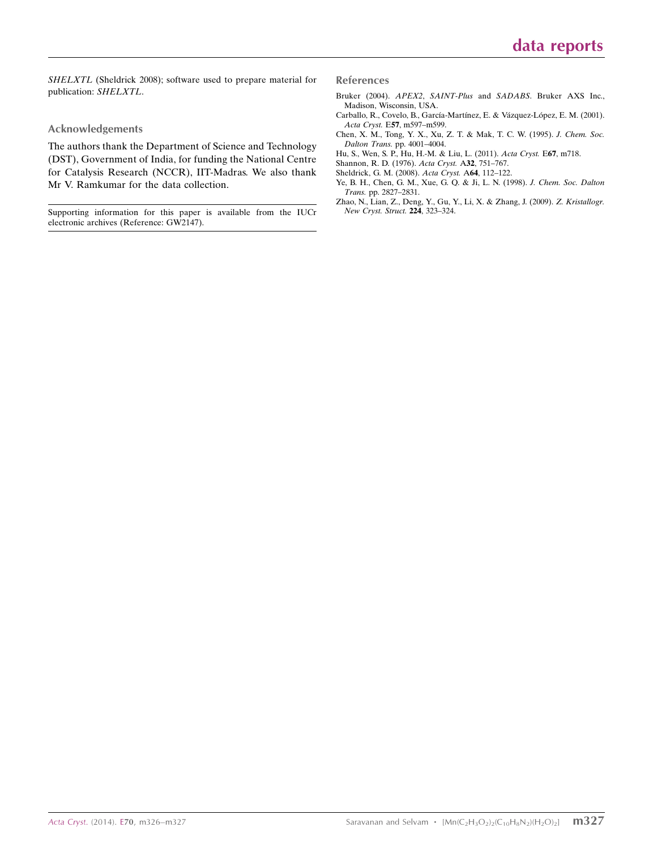SHELXTL (Sheldrick 2008); software used to prepare material for publication: SHELXTL.

#### Acknowledgements

The authors thank the Department of Science and Technology (DST), Government of India, for funding the National Centre for Catalysis Research (NCCR), IIT-Madras. We also thank Mr V. Ramkumar for the data collection.

Supporting information for this paper is available from the IUCr electronic archives (Reference: GW2147).

#### References

- Bruker (2004). APEX2, SAINT-Plus and SADABS[. Bruker AXS Inc.,](http://scripts.iucr.org/cgi-bin/cr.cgi?rm=pdfbb&cnor=gw2147&bbid=BB1) [Madison, Wisconsin, USA.](http://scripts.iucr.org/cgi-bin/cr.cgi?rm=pdfbb&cnor=gw2147&bbid=BB1)
- Carballo, R., Covelo, B., García-Martínez, E. & Vázquez-López, E. M. (2001). Acta Cryst. E57[, m597–m599.](http://scripts.iucr.org/cgi-bin/cr.cgi?rm=pdfbb&cnor=gw2147&bbid=BB2)
- [Chen, X. M., Tong, Y. X., Xu, Z. T. & Mak, T. C. W. \(1995\).](http://scripts.iucr.org/cgi-bin/cr.cgi?rm=pdfbb&cnor=gw2147&bbid=BB3) J. Chem. Soc. Dalton Trans. [pp. 4001–4004.](http://scripts.iucr.org/cgi-bin/cr.cgi?rm=pdfbb&cnor=gw2147&bbid=BB3)
- [Hu, S., Wen, S. P., Hu, H.-M. & Liu, L. \(2011\).](http://scripts.iucr.org/cgi-bin/cr.cgi?rm=pdfbb&cnor=gw2147&bbid=BB4) Acta Cryst. E67, m718.
- [Shannon, R. D. \(1976\).](http://scripts.iucr.org/cgi-bin/cr.cgi?rm=pdfbb&cnor=gw2147&bbid=BB5) Acta Cryst. A32, 751–767.
- [Sheldrick, G. M. \(2008\).](http://scripts.iucr.org/cgi-bin/cr.cgi?rm=pdfbb&cnor=gw2147&bbid=BB6) Acta Cryst. A64, 112–122.
- [Ye, B. H., Chen, G. M., Xue, G. Q. & Ji, L. N. \(1998\).](http://scripts.iucr.org/cgi-bin/cr.cgi?rm=pdfbb&cnor=gw2147&bbid=BB7) J. Chem. Soc. Dalton Trans. [pp. 2827–2831.](http://scripts.iucr.org/cgi-bin/cr.cgi?rm=pdfbb&cnor=gw2147&bbid=BB7)
- [Zhao, N., Lian, Z., Deng, Y., Gu, Y., Li, X. & Zhang, J. \(2009\).](http://scripts.iucr.org/cgi-bin/cr.cgi?rm=pdfbb&cnor=gw2147&bbid=BB8) Z. Kristallogr. [New Cryst. Struct.](http://scripts.iucr.org/cgi-bin/cr.cgi?rm=pdfbb&cnor=gw2147&bbid=BB8) 224, 323–324.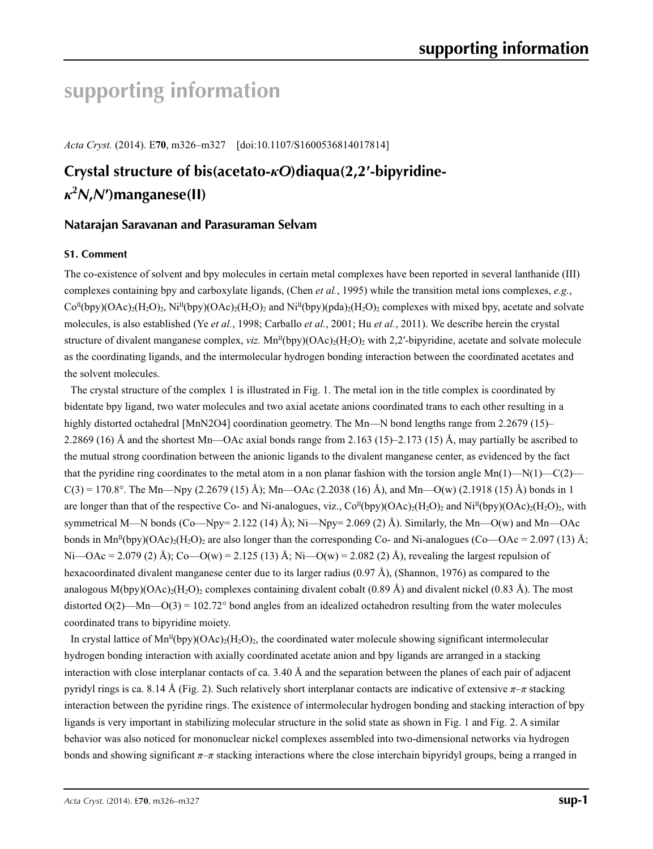# **supporting information**

*Acta Cryst.* (2014). E**70**, m326–m327 [doi:10.1107/S1600536814017814]

# **Crystal structure of bis(acetato-***κO***)diaqua(2,2′-bipyridine***κ***2** *N***,***N***′)manganese(II)**

## **Natarajan Saravanan and Parasuraman Selvam**

#### **S1. Comment**

The co-existence of solvent and bpy molecules in certain metal complexes have been reported in several lanthanide (III) complexes containing bpy and carboxylate ligands, (Chen *et al.*, 1995) while the transition metal ions complexes, *e.g.*,  $Co<sup>H</sup>(bpy)(OAc)<sub>2</sub>(H<sub>2</sub>O)<sub>2</sub>$ , Ni<sup>II</sup>(bpy)(OAc)<sub>2</sub>(H<sub>2</sub>O)<sub>2</sub> and Ni<sup>II</sup>(bpy)(pda)<sub>2</sub>(H<sub>2</sub>O)<sub>2</sub> complexes with mixed bpy, acetate and solvate molecules, is also established (Ye *et al.*, 1998; Carballo *et al.*, 2001; Hu *et al.*, 2011). We describe herein the crystal structure of divalent manganese complex, *viz.* Mn<sup>II</sup>(bpy)( $OAc$ )<sub>2</sub>(H<sub>2</sub>O)<sub>2</sub> with 2,2'-bipyridine, acetate and solvate molecule as the coordinating ligands, and the intermolecular hydrogen bonding interaction between the coordinated acetates and the solvent molecules.

The crystal structure of the complex 1 is illustrated in Fig. 1. The metal ion in the title complex is coordinated by bidentate bpy ligand, two water molecules and two axial acetate anions coordinated trans to each other resulting in a highly distorted octahedral [MnN2O4] coordination geometry. The Mn—N bond lengths range from 2.2679 (15)– 2.2869 (16) Å and the shortest Mn—OAc axial bonds range from 2.163 (15)–2.173 (15) Å, may partially be ascribed to the mutual strong coordination between the anionic ligands to the divalent manganese center, as evidenced by the fact that the pyridine ring coordinates to the metal atom in a non planar fashion with the torsion angle  $Mn(1)$ — $N(1)$ — $C(2)$ —  $C(3) = 170.8^\circ$ . The Mn—Npy (2.2679 (15) Å); Mn—OAc (2.2038 (16) Å), and Mn—O(w) (2.1918 (15) Å) bonds in 1 are longer than that of the respective Co- and Ni-analogues, viz.,  $Co<sup>II</sup>(bpy)(OAc)<sub>2</sub>(H<sub>2</sub>O)<sub>2</sub>$  and Ni<sup>II</sup>(bpy)(OAc)<sub>2</sub>(H<sub>2</sub>O)<sub>2</sub>, with symmetrical M—N bonds (Co—Npy= 2.122 (14) Å); Ni—Npy= 2.069 (2) Å). Similarly, the Mn—O(w) and Mn—OAc bonds in Mn<sup>II</sup>(bpy)(OAc)<sub>2</sub>(H<sub>2</sub>O)<sub>2</sub> are also longer than the corresponding Co- and Ni-analogues (Co—OAc = 2.097 (13) Å; Ni—OAc = 2.079 (2) Å); Co—O(w) = 2.125 (13) Å; Ni—O(w) = 2.082 (2) Å), revealing the largest repulsion of hexacoordinated divalent manganese center due to its larger radius (0.97 Å), (Shannon, 1976) as compared to the analogous  $M(bpy)(OAc)<sub>2</sub>(H<sub>2</sub>O)<sub>2</sub>$  complexes containing divalent cobalt (0.89 Å) and divalent nickel (0.83 Å). The most distorted  $O(2)$ —Mn— $O(3) = 102.72^{\circ}$  bond angles from an idealized octahedron resulting from the water molecules coordinated trans to bipyridine moiety.

In crystal lattice of  $Mn^{II}(bpy)(OAc)<sub>2</sub>(H<sub>2</sub>O)<sub>2</sub>$ , the coordinated water molecule showing significant intermolecular hydrogen bonding interaction with axially coordinated acetate anion and bpy ligands are arranged in a stacking interaction with close interplanar contacts of ca. 3.40 Å and the separation between the planes of each pair of adjacent pyridyl rings is ca. 8.14 Å (Fig. 2). Such relatively short interplanar contacts are indicative of extensive *π*–*π* stacking interaction between the pyridine rings. The existence of intermolecular hydrogen bonding and stacking interaction of bpy ligands is very important in stabilizing molecular structure in the solid state as shown in Fig. 1 and Fig. 2. A similar behavior was also noticed for mononuclear nickel complexes assembled into two-dimensional networks via hydrogen bonds and showing significant *π*–*π* stacking interactions where the close interchain bipyridyl groups, being a rranged in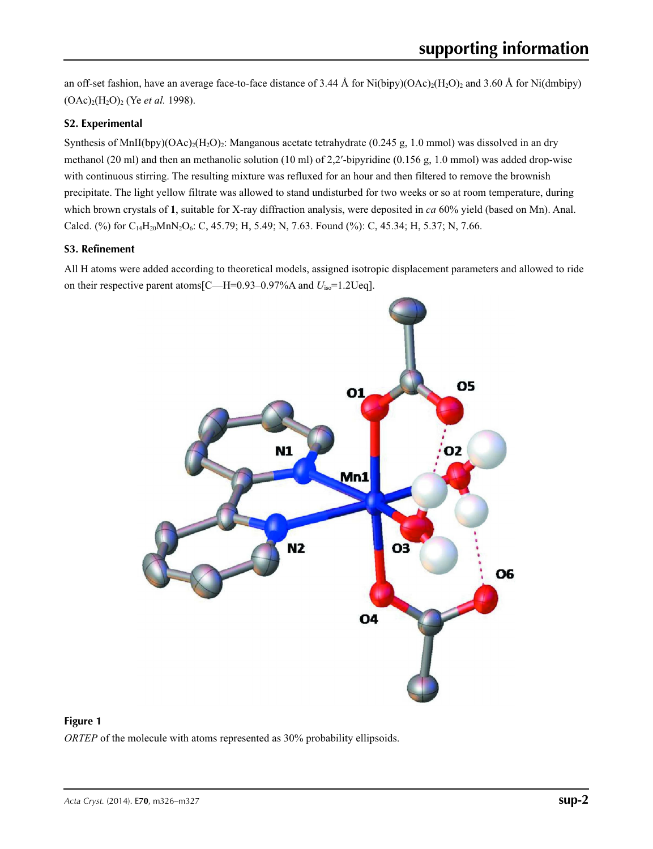an off-set fashion, have an average face-to-face distance of 3.44 Å for Ni(bipy)(OAc)<sub>2</sub>(H<sub>2</sub>O)<sub>2</sub> and 3.60 Å for Ni(dmbipy) (OAc)2(H2O)2 (Ye *et al.* 1998).

## **S2. Experimental**

Synthesis of MnII(bpy)(OAc)<sub>2</sub>(H<sub>2</sub>O)<sub>2</sub>: Manganous acetate tetrahydrate (0.245 g, 1.0 mmol) was dissolved in an dry methanol (20 ml) and then an methanolic solution (10 ml) of 2,2′-bipyridine (0.156 g, 1.0 mmol) was added drop-wise with continuous stirring. The resulting mixture was refluxed for an hour and then filtered to remove the brownish precipitate. The light yellow filtrate was allowed to stand undisturbed for two weeks or so at room temperature, during which brown crystals of **1**, suitable for X-ray diffraction analysis, were deposited in *ca* 60% yield (based on Mn). Anal. Calcd. (%) for  $C_{14}H_{20}MnN_2O_6$ : C, 45.79; H, 5.49; N, 7.63. Found (%): C, 45.34; H, 5.37; N, 7.66.

## **S3. Refinement**

All H atoms were added according to theoretical models, assigned isotropic displacement parameters and allowed to ride on their respective parent atoms [C—H=0.93–0.97%A and  $U_{\text{iso}}$ =1.2Ueq].



## **Figure 1**

*ORTEP* of the molecule with atoms represented as 30% probability ellipsoids.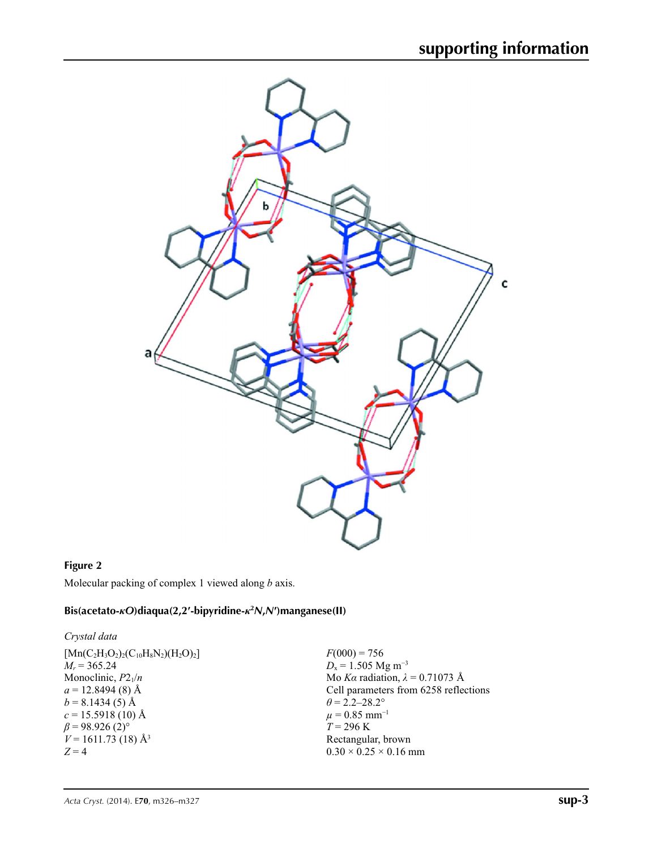

## **Figure 2**

Molecular packing of complex 1 viewed along *b* axis.

## **Bis(acetato-***κO***)diaqua(2,2′-bipyridine-***κ***<sup>2</sup>** *N***,***N***′)manganese(II)**

#### *Crystal data*

 $[Mn(C_2H_3O_2)_2(C_{10}H_8N_2)(H_2O)_2]$  $M_r = 365.24$ Monoclinic,  $P2_1/n$  $a = 12.8494(8)$  Å  $b = 8.1434(5)$  Å  $c = 15.5918(10)$  Å  $\beta$  = 98.926 (2)<sup>°</sup>  $V = 1611.73$  (18) Å<sup>3</sup> *Z* = 4

 $F(000) = 756$ *D*<sub>x</sub> = 1.505 Mg m<sup>-3</sup> Mo *Kα* radiation,  $\lambda = 0.71073$  Å Cell parameters from 6258 reflections  $\theta$  = 2.2–28.2°  $\mu = 0.85$  mm<sup>-1</sup>  $T = 296 \text{ K}$ Rectangular, brown  $0.30 \times 0.25 \times 0.16$  mm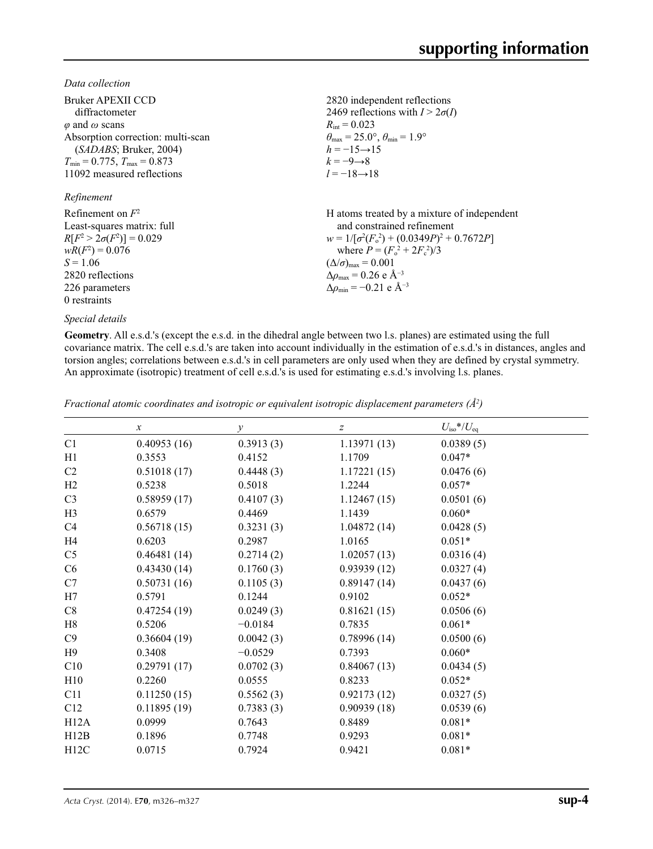*Data collection*

| Bruker APEXII CCD<br>diffractometer<br>$\varphi$ and $\omega$ scans<br>Absorption correction: multi-scan<br>(SADABS; Bruker, 2004)<br>$T_{\min} = 0.775$ , $T_{\max} = 0.873$<br>11092 measured reflections | 2820 independent reflections<br>2469 reflections with $I > 2\sigma(I)$<br>$R_{\text{int}} = 0.023$<br>$\theta_{\text{max}} = 25.0^{\circ}$ , $\theta_{\text{min}} = 1.9^{\circ}$<br>$h = -15 \rightarrow 15$<br>$k = -9 \rightarrow 8$<br>$l = -18 \rightarrow 18$                                                 |
|-------------------------------------------------------------------------------------------------------------------------------------------------------------------------------------------------------------|--------------------------------------------------------------------------------------------------------------------------------------------------------------------------------------------------------------------------------------------------------------------------------------------------------------------|
| Refinement                                                                                                                                                                                                  |                                                                                                                                                                                                                                                                                                                    |
| Refinement on $F^2$<br>Least-squares matrix: full<br>$R[F^2 > 2\sigma(F^2)] = 0.029$<br>$wR(F^2) = 0.076$<br>$S = 1.06$<br>2820 reflections<br>226 parameters<br>0 restraints                               | H atoms treated by a mixture of independent<br>and constrained refinement<br>$w = 1/[\sigma^2(F_0^2) + (0.0349P)^2 + 0.7672P]$<br>where $P = (F_0^2 + 2F_c^2)/3$<br>$(\Delta/\sigma)_{\text{max}} = 0.001$<br>$\Delta\rho_{\rm max}$ = 0.26 e Å <sup>-3</sup><br>$\Delta \rho_{\rm min} = -0.21$ e Å <sup>-3</sup> |
| Special details                                                                                                                                                                                             |                                                                                                                                                                                                                                                                                                                    |

**Geometry**. All e.s.d.'s (except the e.s.d. in the dihedral angle between two l.s. planes) are estimated using the full covariance matrix. The cell e.s.d.'s are taken into account individually in the estimation of e.s.d.'s in distances, angles and torsion angles; correlations between e.s.d.'s in cell parameters are only used when they are defined by crystal symmetry. An approximate (isotropic) treatment of cell e.s.d.'s is used for estimating e.s.d.'s involving l.s. planes.

| Fractional atomic coordinates and isotropic or equivalent isotropic displacement parameters $(\hat{A}^2)$ |  |  |  |  |  |  |
|-----------------------------------------------------------------------------------------------------------|--|--|--|--|--|--|
|-----------------------------------------------------------------------------------------------------------|--|--|--|--|--|--|

|                | $\boldsymbol{x}$ | $\mathcal{Y}$ | Ζ           | $U_{\rm iso}*/U_{\rm eq}$ |  |
|----------------|------------------|---------------|-------------|---------------------------|--|
| C1             | 0.40953(16)      | 0.3913(3)     | 1.13971(13) | 0.0389(5)                 |  |
| H1             | 0.3553           | 0.4152        | 1.1709      | $0.047*$                  |  |
| C2             | 0.51018(17)      | 0.4448(3)     | 1.17221(15) | 0.0476(6)                 |  |
| H2             | 0.5238           | 0.5018        | 1.2244      | $0.057*$                  |  |
| C <sub>3</sub> | 0.58959(17)      | 0.4107(3)     | 1.12467(15) | 0.0501(6)                 |  |
| H <sub>3</sub> | 0.6579           | 0.4469        | 1.1439      | $0.060*$                  |  |
| C <sub>4</sub> | 0.56718(15)      | 0.3231(3)     | 1.04872(14) | 0.0428(5)                 |  |
| H <sub>4</sub> | 0.6203           | 0.2987        | 1.0165      | $0.051*$                  |  |
| C <sub>5</sub> | 0.46481(14)      | 0.2714(2)     | 1.02057(13) | 0.0316(4)                 |  |
| C6             | 0.43430(14)      | 0.1760(3)     | 0.93939(12) | 0.0327(4)                 |  |
| C7             | 0.50731(16)      | 0.1105(3)     | 0.89147(14) | 0.0437(6)                 |  |
| H7             | 0.5791           | 0.1244        | 0.9102      | $0.052*$                  |  |
| C8             | 0.47254(19)      | 0.0249(3)     | 0.81621(15) | 0.0506(6)                 |  |
| H8             | 0.5206           | $-0.0184$     | 0.7835      | $0.061*$                  |  |
| C9             | 0.36604(19)      | 0.0042(3)     | 0.78996(14) | 0.0500(6)                 |  |
| H9             | 0.3408           | $-0.0529$     | 0.7393      | $0.060*$                  |  |
| C10            | 0.29791(17)      | 0.0702(3)     | 0.84067(13) | 0.0434(5)                 |  |
| H10            | 0.2260           | 0.0555        | 0.8233      | $0.052*$                  |  |
| C11            | 0.11250(15)      | 0.5562(3)     | 0.92173(12) | 0.0327(5)                 |  |
| C12            | 0.11895(19)      | 0.7383(3)     | 0.90939(18) | 0.0539(6)                 |  |
| H12A           | 0.0999           | 0.7643        | 0.8489      | $0.081*$                  |  |
| H12B           | 0.1896           | 0.7748        | 0.9293      | $0.081*$                  |  |
| H12C           | 0.0715           | 0.7924        | 0.9421      | $0.081*$                  |  |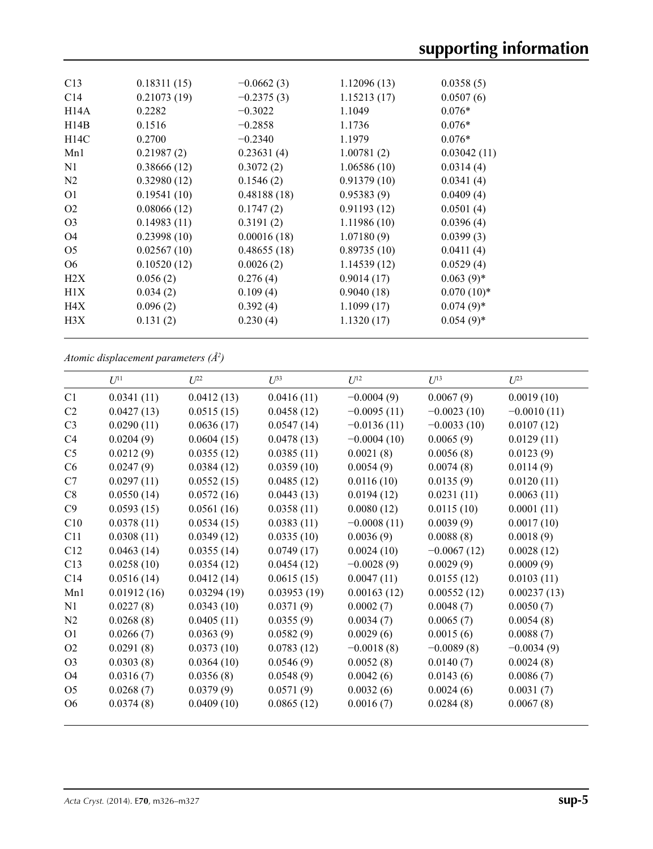| C13            | 0.18311(15) | $-0.0662(3)$ | 1.12096(13) | 0.0358(5)    |
|----------------|-------------|--------------|-------------|--------------|
| C14            | 0.21073(19) | $-0.2375(3)$ | 1.15213(17) | 0.0507(6)    |
| H14A           | 0.2282      | $-0.3022$    | 1.1049      | $0.076*$     |
| H14B           | 0.1516      | $-0.2858$    | 1.1736      | $0.076*$     |
| H14C           | 0.2700      | $-0.2340$    | 1.1979      | $0.076*$     |
| Mn1            | 0.21987(2)  | 0.23631(4)   | 1.00781(2)  | 0.03042(11)  |
| N1             | 0.38666(12) | 0.3072(2)    | 1.06586(10) | 0.0314(4)    |
| N <sub>2</sub> | 0.32980(12) | 0.1546(2)    | 0.91379(10) | 0.0341(4)    |
| O <sub>1</sub> | 0.19541(10) | 0.48188(18)  | 0.95383(9)  | 0.0409(4)    |
| O <sub>2</sub> | 0.08066(12) | 0.1747(2)    | 0.91193(12) | 0.0501(4)    |
| O <sub>3</sub> | 0.14983(11) | 0.3191(2)    | 1.11986(10) | 0.0396(4)    |
| O <sub>4</sub> | 0.23998(10) | 0.00016(18)  | 1.07180(9)  | 0.0399(3)    |
| O <sub>5</sub> | 0.02567(10) | 0.48655(18)  | 0.89735(10) | 0.0411(4)    |
| O <sub>6</sub> | 0.10520(12) | 0.0026(2)    | 1.14539(12) | 0.0529(4)    |
| H2X            | 0.056(2)    | 0.276(4)     | 0.9014(17)  | $0.063(9)$ * |
| H1X            | 0.034(2)    | 0.109(4)     | 0.9040(18)  | $0.070(10)*$ |
| H4X            | 0.096(2)    | 0.392(4)     | 1.1099(17)  | $0.074(9)$ * |
| H3X            | 0.131(2)    | 0.230(4)     | 1.1320(17)  | $0.054(9)$ * |
|                |             |              |             |              |

*Atomic displacement parameters (Å2 )*

|                 | $U^{11}$    | $U^{22}$    | $U^{33}$    | $U^{12}$      | $U^{13}$      | $U^{23}$      |
|-----------------|-------------|-------------|-------------|---------------|---------------|---------------|
| C1              | 0.0341(11)  | 0.0412(13)  | 0.0416(11)  | $-0.0004(9)$  | 0.0067(9)     | 0.0019(10)    |
| C <sub>2</sub>  | 0.0427(13)  | 0.0515(15)  | 0.0458(12)  | $-0.0095(11)$ | $-0.0023(10)$ | $-0.0010(11)$ |
| C <sub>3</sub>  | 0.0290(11)  | 0.0636(17)  | 0.0547(14)  | $-0.0136(11)$ | $-0.0033(10)$ | 0.0107(12)    |
| C <sub>4</sub>  | 0.0204(9)   | 0.0604(15)  | 0.0478(13)  | $-0.0004(10)$ | 0.0065(9)     | 0.0129(11)    |
| C <sub>5</sub>  | 0.0212(9)   | 0.0355(12)  | 0.0385(11)  | 0.0021(8)     | 0.0056(8)     | 0.0123(9)     |
| C <sub>6</sub>  | 0.0247(9)   | 0.0384(12)  | 0.0359(10)  | 0.0054(9)     | 0.0074(8)     | 0.0114(9)     |
| C7              | 0.0297(11)  | 0.0552(15)  | 0.0485(12)  | 0.0116(10)    | 0.0135(9)     | 0.0120(11)    |
| C8              | 0.0550(14)  | 0.0572(16)  | 0.0443(13)  | 0.0194(12)    | 0.0231(11)    | 0.0063(11)    |
| C9              | 0.0593(15)  | 0.0561(16)  | 0.0358(11)  | 0.0080(12)    | 0.0115(10)    | 0.0001(11)    |
| C10             | 0.0378(11)  | 0.0534(15)  | 0.0383(11)  | $-0.0008(11)$ | 0.0039(9)     | 0.0017(10)    |
| C11             | 0.0308(11)  | 0.0349(12)  | 0.0335(10)  | 0.0036(9)     | 0.0088(8)     | 0.0018(9)     |
| C12             | 0.0463(14)  | 0.0355(14)  | 0.0749(17)  | 0.0024(10)    | $-0.0067(12)$ | 0.0028(12)    |
| C13             | 0.0258(10)  | 0.0354(12)  | 0.0454(12)  | $-0.0028(9)$  | 0.0029(9)     | 0.0009(9)     |
| C <sub>14</sub> | 0.0516(14)  | 0.0412(14)  | 0.0615(15)  | 0.0047(11)    | 0.0155(12)    | 0.0103(11)    |
| Mn1             | 0.01912(16) | 0.03294(19) | 0.03953(19) | 0.00163(12)   | 0.00552(12)   | 0.00237(13)   |
| N1              | 0.0227(8)   | 0.0343(10)  | 0.0371(9)   | 0.0002(7)     | 0.0048(7)     | 0.0050(7)     |
| N <sub>2</sub>  | 0.0268(8)   | 0.0405(11)  | 0.0355(9)   | 0.0034(7)     | 0.0065(7)     | 0.0054(8)     |
| O <sub>1</sub>  | 0.0266(7)   | 0.0363(9)   | 0.0582(9)   | 0.0029(6)     | 0.0015(6)     | 0.0088(7)     |
| O <sub>2</sub>  | 0.0291(8)   | 0.0373(10)  | 0.0783(12)  | $-0.0018(8)$  | $-0.0089(8)$  | $-0.0034(9)$  |
| O <sub>3</sub>  | 0.0303(8)   | 0.0364(10)  | 0.0546(9)   | 0.0052(8)     | 0.0140(7)     | 0.0024(8)     |
| O4              | 0.0316(7)   | 0.0356(8)   | 0.0548(9)   | 0.0042(6)     | 0.0143(6)     | 0.0086(7)     |
| O <sub>5</sub>  | 0.0268(7)   | 0.0379(9)   | 0.0571(9)   | 0.0032(6)     | 0.0024(6)     | 0.0031(7)     |
| O <sub>6</sub>  | 0.0374(8)   | 0.0409(10)  | 0.0865(12)  | 0.0016(7)     | 0.0284(8)     | 0.0067(8)     |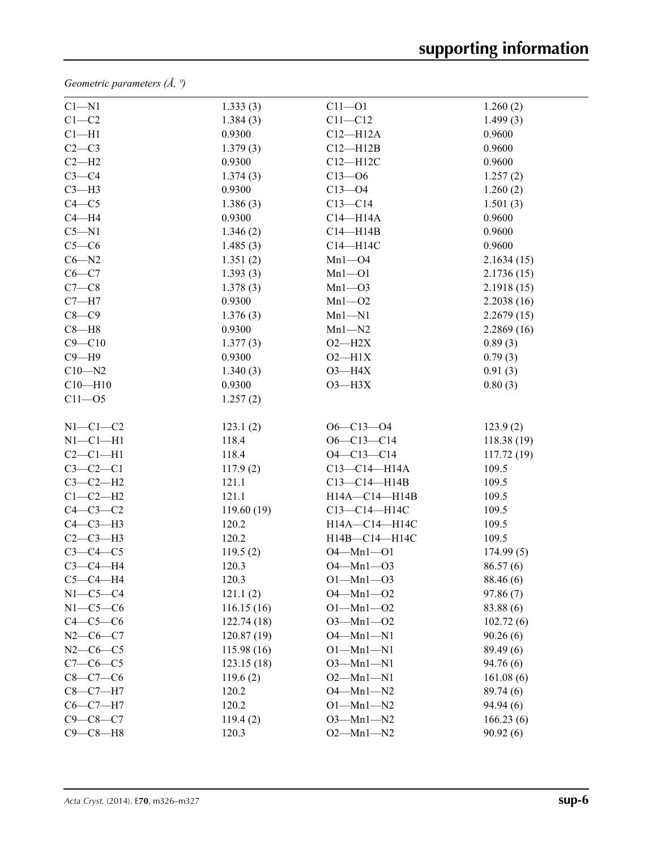*Geometric parameters (Å, º)*

| $C1 - N1$      | 1.333(3)    | $C11 - O1$         | 1.260(2)   |
|----------------|-------------|--------------------|------------|
| $C1-C2$        | 1.384(3)    | $C11 - C12$        | 1.499(3)   |
| $Cl-H1$        | 0.9300      | $C12 - H12A$       | 0.9600     |
| $C2-C3$        | 1.379(3)    | $C12 - H12B$       | 0.9600     |
| $C2-H2$        | 0.9300      | $C12 - H12C$       | 0.9600     |
| $C3-C4$        | 1.374(3)    | $C13 - 06$         | 1.257(2)   |
| $C3-H3$        | 0.9300      | $C13 - 04$         | 1.260(2)   |
| $C4 - C5$      | 1.386(3)    | $C13 - C14$        | 1.501(3)   |
| $C4 - H4$      | 0.9300      | $C14 - H14A$       | 0.9600     |
| $C5 - N1$      | 1.346(2)    | $C14 - H14B$       | 0.9600     |
| $C5-C6$        | 1.485(3)    | C14-H14C           | 0.9600     |
| $C6 - N2$      | 1.351(2)    | $Mn1 - O4$         | 2.1634(15) |
| $C6-C7$        | 1.393(3)    | $Mn1 - O1$         | 2.1736(15) |
| $C7-C8$        | 1.378(3)    | $Mn1 - O3$         | 2.1918(15) |
| $C7 - H7$      | 0.9300      | $Mn1 - 02$         | 2.2038(16) |
| $C8-C9$        | 1.376(3)    | $Mn1 - N1$         | 2.2679(15) |
| $C8 - H8$      | 0.9300      | $Mn1 - N2$         | 2.2869(16) |
| $C9 - C10$     | 1.377(3)    | $O2 - H2X$         | 0.89(3)    |
| $C9 - H9$      | 0.9300      | $O2 - H1X$         | 0.79(3)    |
| $C10 - N2$     | 1.340(3)    | $O3 - H4X$         | 0.91(3)    |
| $C10 - H10$    | 0.9300      | $O3 - H3X$         | 0.80(3)    |
| $C11 - 05$     | 1.257(2)    |                    |            |
|                |             |                    |            |
| $N1-C1-C2$     | 123.1(2)    | $O6 - C13 - O4$    | 123.9(2)   |
| $N1-C1-H1$     | 118.4       | $O6 - C13 - C14$   | 118.38(19) |
| $C2-C1-H1$     | 118.4       | $O4 - C13 - C14$   | 117.72(19) |
| $C3-C2-C1$     | 117.9(2)    | $C13 - C14 - H14A$ | 109.5      |
| $C3-C2-H2$     | 121.1       | $C13 - C14 - H14B$ | 109.5      |
| $C1-C2-H2$     | 121.1       | H14A-C14-H14B      | 109.5      |
| $C4-C3-C2$     | 119.60 (19) | C13-C14-H14C       | 109.5      |
| $C4-C3-H3$     | 120.2       | H14A-C14-H14C      | 109.5      |
| $C2-C3-H3$     | 120.2       | H14B-C14-H14C      | 109.5      |
| $C3-C4-C5$     | 119.5(2)    | $O4 - Mn1 - O1$    | 174.99(5)  |
| $C3-C4-H4$     | 120.3       | $O4 - Mn1 - O3$    | 86.57(6)   |
| $C5-C4-H4$     | 120.3       | $O1 - Mn1 - O3$    | 88.46 (6)  |
| $N1-C5-C4$     | 121.1(2)    | $O4 - Mn1 - O2$    | 97.86(7)   |
| $N1-C5-C6$     | 116.15(16)  | $O1 - Mn1 - O2$    | 83.88 (6)  |
| $C4-C5-C6$     | 122.74(18)  | $O3 - Mn1 - O2$    | 102.72(6)  |
| $N2-C6-C7$     | 120.87(19)  | $O4 - Mn1 - N1$    | 90.26(6)   |
| $N2-C6-C5$     | 115.98(16)  | $O1 - Mn1 - N1$    | 89.49(6)   |
| $C7-C6-C5$     | 123.15(18)  | $O3 - Mn1 - N1$    | 94.76(6)   |
| $C8-C7-C6$     | 119.6(2)    | $O2 - Mn1 - N1$    | 161.08(6)  |
| $C8-C7-H7$     | 120.2       | $O4 - Mn1 - N2$    | 89.74 (6)  |
| $C6-C7-H7$     | 120.2       | $O1 - Mn1 - N2$    | 94.94(6)   |
| $C9 - C8 - C7$ | 119.4(2)    | $O3 - Mn1 - N2$    | 166.23(6)  |
| $C9 - C8 - H8$ | 120.3       | $O2 - Mn1 - N2$    | 90.92(6)   |